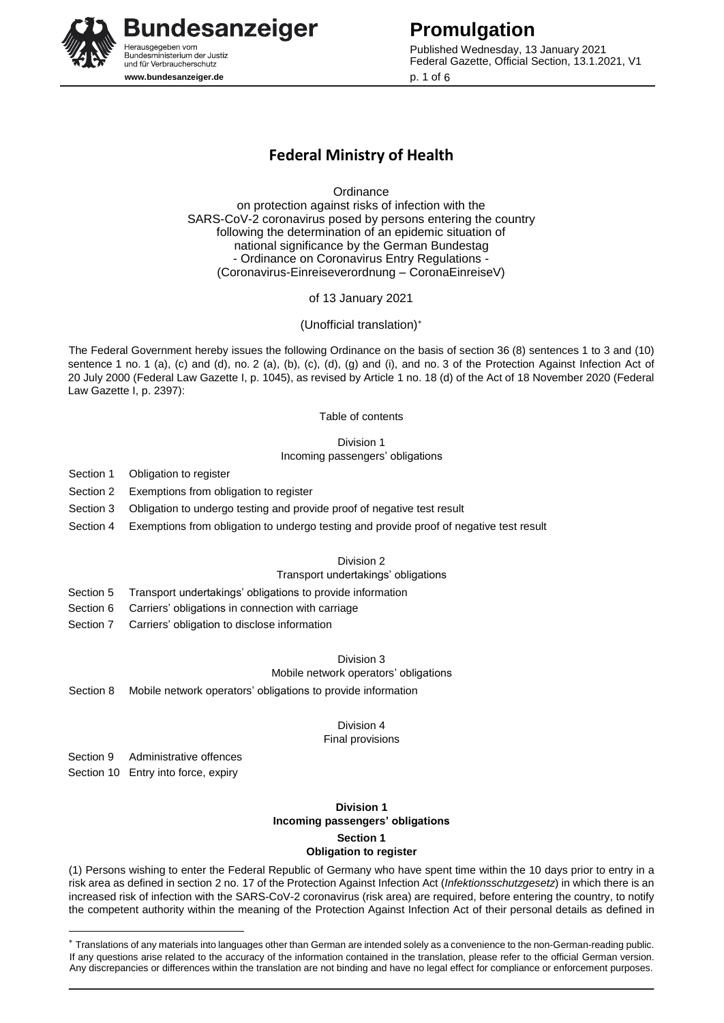

Published Wednesday, 13 January 2021 Federal Gazette, Official Section, 13.1.2021, V1 p. 1 of 6

# **Federal Ministry of Health**

**Ordinance** 

on protection against risks of infection with the SARS-CoV-2 coronavirus posed by persons entering the country following the determination of an epidemic situation of national significance by the German Bundestag - Ordinance on Coronavirus Entry Regulations - (Coronavirus-Einreiseverordnung – CoronaEinreiseV)

of 13 January 2021

(Unofficial translation)

The Federal Government hereby issues the following Ordinance on the basis of section 36 (8) sentences 1 to 3 and (10) sentence 1 no. 1 (a), (c) and (d), no. 2 (a), (b), (c), (d), (g) and (i), and no. 3 of the Protection Against Infection Act of 20 July 2000 (Federal Law Gazette I, p. 1045), as revised by Article 1 no. 18 (d) of the Act of 18 November 2020 (Federal Law Gazette I, p. 2397):

Table of contents

Division 1

Incoming passengers' obligations

Section 1 Obligation to register

- Section 2 Exemptions from obligation to register
- Section 3 Obligation to undergo testing and provide proof of negative test result
- Section 4 Exemptions from obligation to undergo testing and provide proof of negative test result

Division 2

Transport undertakings' obligations

- Section 5 Transport undertakings' obligations to provide information
- Section 6 Carriers' obligations in connection with carriage
- Section 7 Carriers' obligation to disclose information

Division 3

#### Mobile network operators' obligations

Section 8 Mobile network operators' obligations to provide information

Division 4

Final provisions

Section 9 Administrative offences

Section 10 Entry into force, expiry

-

### **Division 1 Incoming passengers' obligations Section 1 Obligation to register**

(1) Persons wishing to enter the Federal Republic of Germany who have spent time within the 10 days prior to entry in a risk area as defined in section 2 no. 17 of the Protection Against Infection Act (*Infektionsschutzgesetz*) in which there is an increased risk of infection with the SARS-CoV-2 coronavirus (risk area) are required, before entering the country, to notify the competent authority within the meaning of the Protection Against Infection Act of their personal details as defined in

Translations of any materials into languages other than German are intended solely as a convenience to the non-German-reading public. If any questions arise related to the accuracy of the information contained in the translation, please refer to the official German version. Any discrepancies or differences within the translation are not binding and have no legal effect for compliance or enforcement purposes.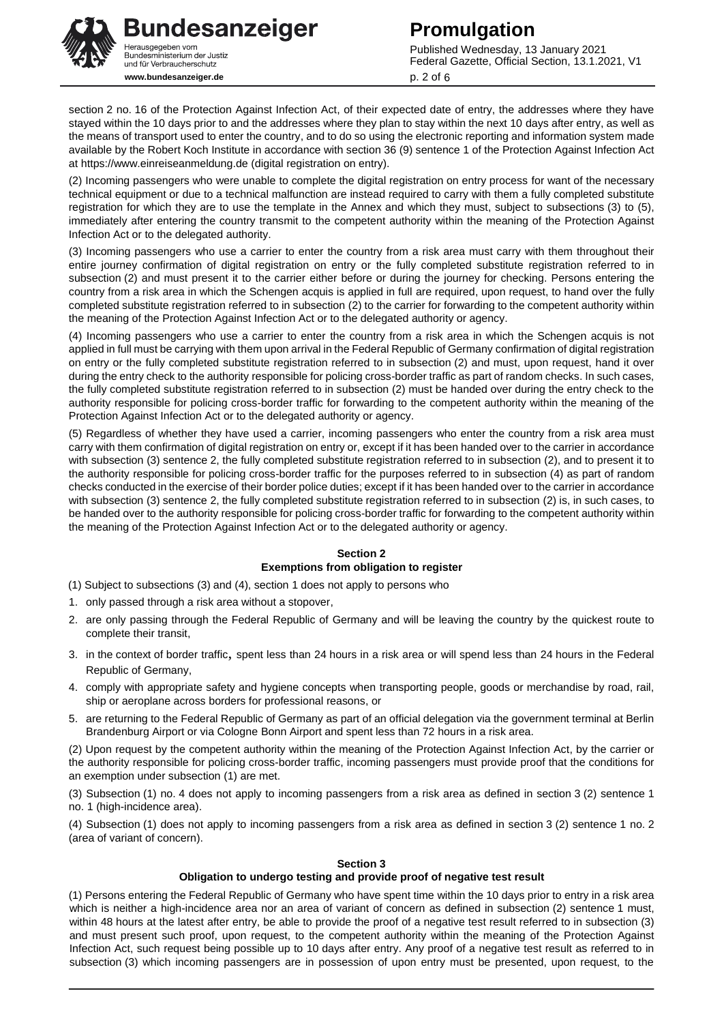

Published Wednesday, 13 January 2021 Federal Gazette, Official Section, 13.1.2021, V1 p. 2 of 6

section 2 no. 16 of the Protection Against Infection Act, of their expected date of entry, the addresses where they have stayed within the 10 days prior to and the addresses where they plan to stay within the next 10 days after entry, as well as the means of transport used to enter the country, and to do so using the electronic reporting and information system made available by the Robert Koch Institute in accordance with section 36 (9) sentence 1 of the Protection Against Infection Act at https://www.einreiseanmeldung.de (digital registration on entry).

(2) Incoming passengers who were unable to complete the digital registration on entry process for want of the necessary technical equipment or due to a technical malfunction are instead required to carry with them a fully completed substitute registration for which they are to use the template in the Annex and which they must, subject to subsections (3) to (5), immediately after entering the country transmit to the competent authority within the meaning of the Protection Against Infection Act or to the delegated authority.

(3) Incoming passengers who use a carrier to enter the country from a risk area must carry with them throughout their entire journey confirmation of digital registration on entry or the fully completed substitute registration referred to in subsection (2) and must present it to the carrier either before or during the journey for checking. Persons entering the country from a risk area in which the Schengen acquis is applied in full are required, upon request, to hand over the fully completed substitute registration referred to in subsection (2) to the carrier for forwarding to the competent authority within the meaning of the Protection Against Infection Act or to the delegated authority or agency.

(4) Incoming passengers who use a carrier to enter the country from a risk area in which the Schengen acquis is not applied in full must be carrying with them upon arrival in the Federal Republic of Germany confirmation of digital registration on entry or the fully completed substitute registration referred to in subsection (2) and must, upon request, hand it over during the entry check to the authority responsible for policing cross-border traffic as part of random checks. In such cases, the fully completed substitute registration referred to in subsection (2) must be handed over during the entry check to the authority responsible for policing cross-border traffic for forwarding to the competent authority within the meaning of the Protection Against Infection Act or to the delegated authority or agency.

(5) Regardless of whether they have used a carrier, incoming passengers who enter the country from a risk area must carry with them confirmation of digital registration on entry or, except if it has been handed over to the carrier in accordance with subsection (3) sentence 2, the fully completed substitute registration referred to in subsection (2), and to present it to the authority responsible for policing cross-border traffic for the purposes referred to in subsection (4) as part of random checks conducted in the exercise of their border police duties; except if it has been handed over to the carrier in accordance with subsection (3) sentence 2, the fully completed substitute registration referred to in subsection (2) is, in such cases, to be handed over to the authority responsible for policing cross-border traffic for forwarding to the competent authority within the meaning of the Protection Against Infection Act or to the delegated authority or agency.

# **Section 2 Exemptions from obligation to register**

(1) Subject to subsections (3) and (4), section 1 does not apply to persons who

- 1. only passed through a risk area without a stopover,
- 2. are only passing through the Federal Republic of Germany and will be leaving the country by the quickest route to complete their transit,
- 3. in the context of border traffic, spent less than 24 hours in a risk area or will spend less than 24 hours in the Federal Republic of Germany,
- 4. comply with appropriate safety and hygiene concepts when transporting people, goods or merchandise by road, rail, ship or aeroplane across borders for professional reasons, or
- 5. are returning to the Federal Republic of Germany as part of an official delegation via the government terminal at Berlin Brandenburg Airport or via Cologne Bonn Airport and spent less than 72 hours in a risk area.

(2) Upon request by the competent authority within the meaning of the Protection Against Infection Act, by the carrier or the authority responsible for policing cross-border traffic, incoming passengers must provide proof that the conditions for an exemption under subsection (1) are met.

(3) Subsection (1) no. 4 does not apply to incoming passengers from a risk area as defined in section 3 (2) sentence 1 no. 1 (high-incidence area).

(4) Subsection (1) does not apply to incoming passengers from a risk area as defined in section 3 (2) sentence 1 no. 2 (area of variant of concern).

### **Section 3**

### **Obligation to undergo testing and provide proof of negative test result**

(1) Persons entering the Federal Republic of Germany who have spent time within the 10 days prior to entry in a risk area which is neither a high-incidence area nor an area of variant of concern as defined in subsection (2) sentence 1 must, within 48 hours at the latest after entry, be able to provide the proof of a negative test result referred to in subsection (3) and must present such proof, upon request, to the competent authority within the meaning of the Protection Against Infection Act, such request being possible up to 10 days after entry. Any proof of a negative test result as referred to in subsection (3) which incoming passengers are in possession of upon entry must be presented, upon request, to the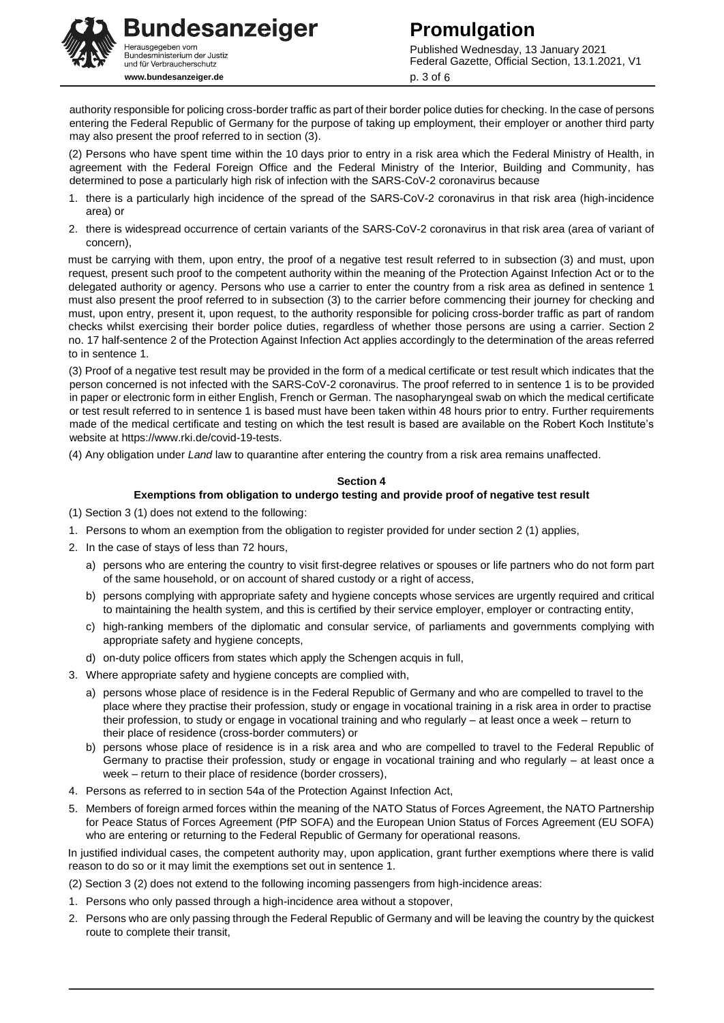

Published Wednesday, 13 January 2021 Federal Gazette, Official Section, 13.1.2021, V1 p. 3 of 6

authority responsible for policing cross-border traffic as part of their border police duties for checking. In the case of persons entering the Federal Republic of Germany for the purpose of taking up employment, their employer or another third party may also present the proof referred to in section (3).

(2) Persons who have spent time within the 10 days prior to entry in a risk area which the Federal Ministry of Health, in agreement with the Federal Foreign Office and the Federal Ministry of the Interior, Building and Community, has determined to pose a particularly high risk of infection with the SARS-CoV-2 coronavirus because

- 1. there is a particularly high incidence of the spread of the SARS-CoV-2 coronavirus in that risk area (high-incidence area) or
- 2. there is widespread occurrence of certain variants of the SARS-CoV-2 coronavirus in that risk area (area of variant of concern),

must be carrying with them, upon entry, the proof of a negative test result referred to in subsection (3) and must, upon request, present such proof to the competent authority within the meaning of the Protection Against Infection Act or to the delegated authority or agency. Persons who use a carrier to enter the country from a risk area as defined in sentence 1 must also present the proof referred to in subsection (3) to the carrier before commencing their journey for checking and must, upon entry, present it, upon request, to the authority responsible for policing cross-border traffic as part of random checks whilst exercising their border police duties, regardless of whether those persons are using a carrier. Section 2 no. 17 half-sentence 2 of the Protection Against Infection Act applies accordingly to the determination of the areas referred to in sentence 1.

(3) Proof of a negative test result may be provided in the form of a medical certificate or test result which indicates that the person concerned is not infected with the SARS-CoV-2 coronavirus. The proof referred to in sentence 1 is to be provided in paper or electronic form in either English, French or German. The nasopharyngeal swab on which the medical certificate or test result referred to in sentence 1 is based must have been taken within 48 hours prior to entry. Further requirements made of the medical certificate and testing on which the test result is based are available on the Robert Koch Institute's website at https://www.rki.de/covid-19-tests.

(4) Any obligation under *Land* law to quarantine after entering the country from a risk area remains unaffected.

### **Section 4**

#### **Exemptions from obligation to undergo testing and provide proof of negative test result**

- (1) Section 3 (1) does not extend to the following:
- 1. Persons to whom an exemption from the obligation to register provided for under section 2 (1) applies,
- 2. In the case of stays of less than 72 hours,
	- a) persons who are entering the country to visit first-degree relatives or spouses or life partners who do not form part of the same household, or on account of shared custody or a right of access,
	- b) persons complying with appropriate safety and hygiene concepts whose services are urgently required and critical to maintaining the health system, and this is certified by their service employer, employer or contracting entity,
	- c) high-ranking members of the diplomatic and consular service, of parliaments and governments complying with appropriate safety and hygiene concepts,
	- d) on-duty police officers from states which apply the Schengen acquis in full,
- 3. Where appropriate safety and hygiene concepts are complied with,
	- a) persons whose place of residence is in the Federal Republic of Germany and who are compelled to travel to the place where they practise their profession, study or engage in vocational training in a risk area in order to practise their profession, to study or engage in vocational training and who regularly – at least once a week – return to their place of residence (cross-border commuters) or
	- b) persons whose place of residence is in a risk area and who are compelled to travel to the Federal Republic of Germany to practise their profession, study or engage in vocational training and who regularly – at least once a week – return to their place of residence (border crossers),
- 4. Persons as referred to in section 54a of the Protection Against Infection Act,
- 5. Members of foreign armed forces within the meaning of the NATO Status of Forces Agreement, the NATO Partnership for Peace Status of Forces Agreement (PfP SOFA) and the European Union Status of Forces Agreement (EU SOFA) who are entering or returning to the Federal Republic of Germany for operational reasons.

In justified individual cases, the competent authority may, upon application, grant further exemptions where there is valid reason to do so or it may limit the exemptions set out in sentence 1.

- (2) Section 3 (2) does not extend to the following incoming passengers from high-incidence areas:
- 1. Persons who only passed through a high-incidence area without a stopover,
- 2. Persons who are only passing through the Federal Republic of Germany and will be leaving the country by the quickest route to complete their transit,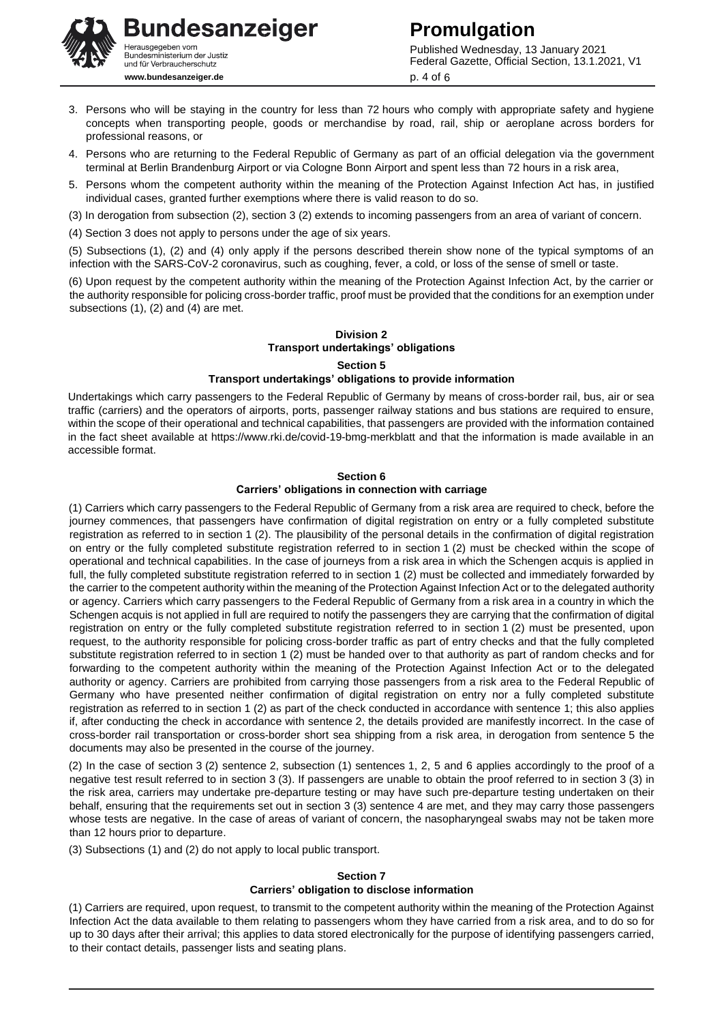**Bundesanzeiger** Herausgegeben vom<br>Bundesministerium der Justiz und für Verbraucherschutz **www.bundesanzeiger.de**

Published Wednesday, 13 January 2021 Federal Gazette, Official Section, 13.1.2021, V1 p. 4 of 6

- 3. Persons who will be staying in the country for less than 72 hours who comply with appropriate safety and hygiene concepts when transporting people, goods or merchandise by road, rail, ship or aeroplane across borders for professional reasons, or
- 4. Persons who are returning to the Federal Republic of Germany as part of an official delegation via the government terminal at Berlin Brandenburg Airport or via Cologne Bonn Airport and spent less than 72 hours in a risk area,
- 5. Persons whom the competent authority within the meaning of the Protection Against Infection Act has, in justified individual cases, granted further exemptions where there is valid reason to do so.
- (3) In derogation from subsection (2), section 3 (2) extends to incoming passengers from an area of variant of concern.
- (4) Section 3 does not apply to persons under the age of six years.

(5) Subsections (1), (2) and (4) only apply if the persons described therein show none of the typical symptoms of an infection with the SARS-CoV-2 coronavirus, such as coughing, fever, a cold, or loss of the sense of smell or taste.

(6) Upon request by the competent authority within the meaning of the Protection Against Infection Act, by the carrier or the authority responsible for policing cross-border traffic, proof must be provided that the conditions for an exemption under subsections (1), (2) and (4) are met.

# **Division 2 Transport undertakings' obligations Section 5 Transport undertakings' obligations to provide information**

Undertakings which carry passengers to the Federal Republic of Germany by means of cross-border rail, bus, air or sea traffic (carriers) and the operators of airports, ports, passenger railway stations and bus stations are required to ensure, within the scope of their operational and technical capabilities, that passengers are provided with the information contained in the fact sheet available at https://www.rki.de/covid-19-bmg-merkblatt and that the information is made available in an accessible format.

#### **Section 6**

#### **Carriers' obligations in connection with carriage**

(1) Carriers which carry passengers to the Federal Republic of Germany from a risk area are required to check, before the journey commences, that passengers have confirmation of digital registration on entry or a fully completed substitute registration as referred to in section 1 (2). The plausibility of the personal details in the confirmation of digital registration on entry or the fully completed substitute registration referred to in section 1 (2) must be checked within the scope of operational and technical capabilities. In the case of journeys from a risk area in which the Schengen acquis is applied in full, the fully completed substitute registration referred to in section 1 (2) must be collected and immediately forwarded by the carrier to the competent authority within the meaning of the Protection Against Infection Act or to the delegated authority or agency. Carriers which carry passengers to the Federal Republic of Germany from a risk area in a country in which the Schengen acquis is not applied in full are required to notify the passengers they are carrying that the confirmation of digital registration on entry or the fully completed substitute registration referred to in section 1 (2) must be presented, upon request, to the authority responsible for policing cross-border traffic as part of entry checks and that the fully completed substitute registration referred to in section 1 (2) must be handed over to that authority as part of random checks and for forwarding to the competent authority within the meaning of the Protection Against Infection Act or to the delegated authority or agency. Carriers are prohibited from carrying those passengers from a risk area to the Federal Republic of Germany who have presented neither confirmation of digital registration on entry nor a fully completed substitute registration as referred to in section 1 (2) as part of the check conducted in accordance with sentence 1; this also applies if, after conducting the check in accordance with sentence 2, the details provided are manifestly incorrect. In the case of cross-border rail transportation or cross-border short sea shipping from a risk area, in derogation from sentence 5 the documents may also be presented in the course of the journey.

(2) In the case of section 3 (2) sentence 2, subsection (1) sentences 1, 2, 5 and 6 applies accordingly to the proof of a negative test result referred to in section 3 (3). If passengers are unable to obtain the proof referred to in section 3 (3) in the risk area, carriers may undertake pre-departure testing or may have such pre-departure testing undertaken on their behalf, ensuring that the requirements set out in section 3 (3) sentence 4 are met, and they may carry those passengers whose tests are negative. In the case of areas of variant of concern, the nasopharyngeal swabs may not be taken more than 12 hours prior to departure.

(3) Subsections (1) and (2) do not apply to local public transport.

# **Section 7 Carriers' obligation to disclose information**

(1) Carriers are required, upon request, to transmit to the competent authority within the meaning of the Protection Against Infection Act the data available to them relating to passengers whom they have carried from a risk area, and to do so for up to 30 days after their arrival; this applies to data stored electronically for the purpose of identifying passengers carried, to their contact details, passenger lists and seating plans.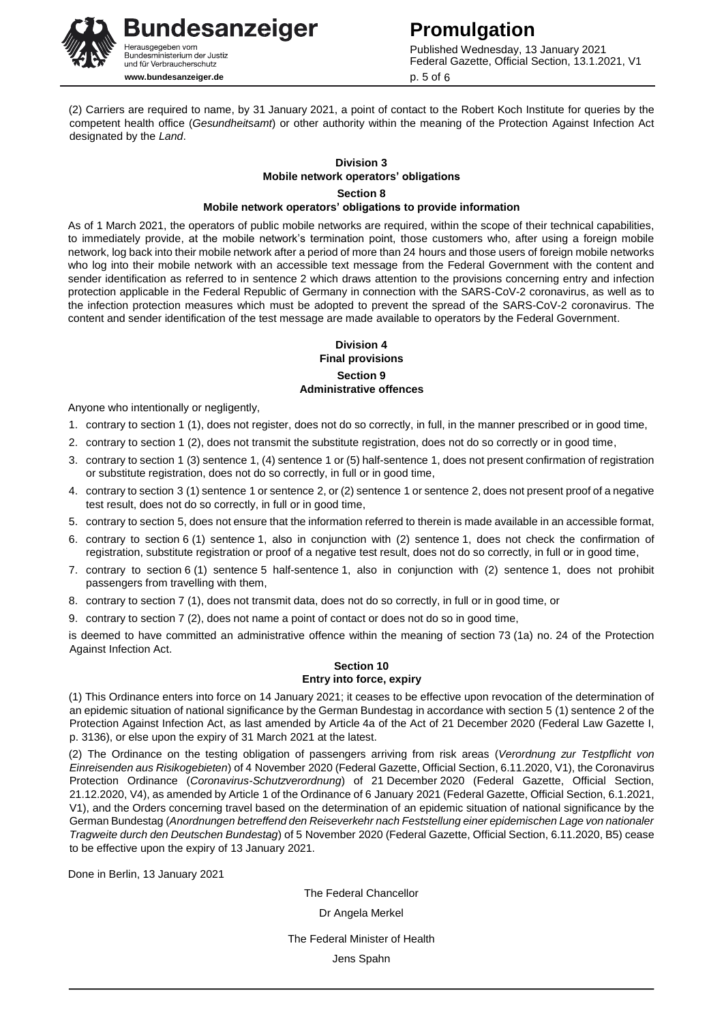**Promulgation** Published Wednesday, 13 January 2021 Federal Gazette, Official Section, 13.1.2021, V1 p. 5 of 6

(2) Carriers are required to name, by 31 January 2021, a point of contact to the Robert Koch Institute for queries by the competent health office (*Gesundheitsamt*) or other authority within the meaning of the Protection Against Infection Act designated by the *Land*.

# **Division 3 Mobile network operators' obligations Section 8 Mobile network operators' obligations to provide information**

As of 1 March 2021, the operators of public mobile networks are required, within the scope of their technical capabilities, to immediately provide, at the mobile network's termination point, those customers who, after using a foreign mobile network, log back into their mobile network after a period of more than 24 hours and those users of foreign mobile networks who log into their mobile network with an accessible text message from the Federal Government with the content and sender identification as referred to in sentence 2 which draws attention to the provisions concerning entry and infection protection applicable in the Federal Republic of Germany in connection with the SARS-CoV-2 coronavirus, as well as to the infection protection measures which must be adopted to prevent the spread of the SARS-CoV-2 coronavirus. The content and sender identification of the test message are made available to operators by the Federal Government.

#### **Division 4 Final provisions Section 9 Administrative offences**

Anyone who intentionally or negligently,

- 1. contrary to section 1 (1), does not register, does not do so correctly, in full, in the manner prescribed or in good time,
- 2. contrary to section 1 (2), does not transmit the substitute registration, does not do so correctly or in good time,
- 3. contrary to section 1 (3) sentence 1, (4) sentence 1 or (5) half-sentence 1, does not present confirmation of registration or substitute registration, does not do so correctly, in full or in good time,
- 4. contrary to section 3 (1) sentence 1 or sentence 2, or (2) sentence 1 or sentence 2, does not present proof of a negative test result, does not do so correctly, in full or in good time,
- 5. contrary to section 5, does not ensure that the information referred to therein is made available in an accessible format,
- 6. contrary to section 6 (1) sentence 1, also in conjunction with (2) sentence 1, does not check the confirmation of registration, substitute registration or proof of a negative test result, does not do so correctly, in full or in good time,
- 7. contrary to section 6 (1) sentence 5 half-sentence 1, also in conjunction with (2) sentence 1, does not prohibit passengers from travelling with them,
- 8. contrary to section 7 (1), does not transmit data, does not do so correctly, in full or in good time, or
- 9. contrary to section 7 (2), does not name a point of contact or does not do so in good time,

is deemed to have committed an administrative offence within the meaning of section 73 (1a) no. 24 of the Protection Against Infection Act.

#### **Section 10 Entry into force, expiry**

(1) This Ordinance enters into force on 14 January 2021; it ceases to be effective upon revocation of the determination of an epidemic situation of national significance by the German Bundestag in accordance with section 5 (1) sentence 2 of the Protection Against Infection Act, as last amended by Article 4a of the Act of 21 December 2020 (Federal Law Gazette I, p. 3136), or else upon the expiry of 31 March 2021 at the latest.

(2) The Ordinance on the testing obligation of passengers arriving from risk areas (*Verordnung zur Testpflicht von Einreisenden aus Risikogebieten*) of 4 November 2020 (Federal Gazette, Official Section, 6.11.2020, V1), the Coronavirus Protection Ordinance (*Coronavirus-Schutzverordnung*) of 21 December 2020 (Federal Gazette, Official Section, 21.12.2020, V4), as amended by Article 1 of the Ordinance of 6 January 2021 (Federal Gazette, Official Section, 6.1.2021, V1), and the Orders concerning travel based on the determination of an epidemic situation of national significance by the German Bundestag (*Anordnungen betreffend den Reiseverkehr nach Feststellung einer epidemischen Lage von nationaler Tragweite durch den Deutschen Bundestag*) of 5 November 2020 (Federal Gazette, Official Section, 6.11.2020, B5) cease to be effective upon the expiry of 13 January 2021.

Done in Berlin, 13 January 2021

The Federal Chancellor Dr Angela Merkel

The Federal Minister of Health Jens Spahn